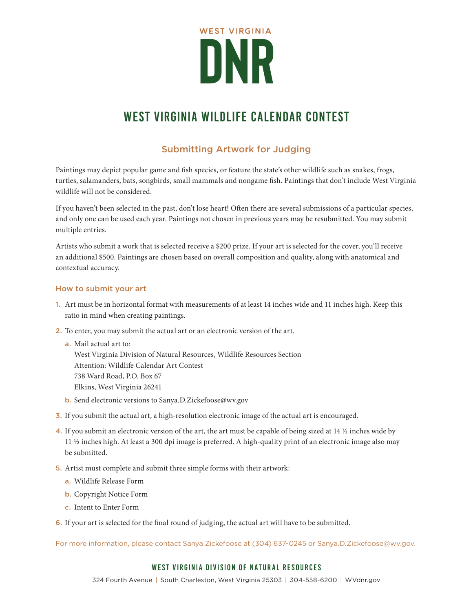

### Submitting Artwork for Judging

Paintings may depict popular game and fish species, or feature the state's other wildlife such as snakes, frogs, turtles, salamanders, bats, songbirds, small mammals and nongame fish. Paintings that don't include West Virginia wildlife will not be considered.

If you haven't been selected in the past, don't lose heart! Often there are several submissions of a particular species, and only one can be used each year. Paintings not chosen in previous years may be resubmitted. You may submit multiple entries.

Artists who submit a work that is selected receive a \$200 prize. If your art is selected for the cover, you'll receive an additional \$500. Paintings are chosen based on overall composition and quality, along with anatomical and contextual accuracy.

#### How to submit your art

- 1. Art must be in horizontal format with measurements of at least 14 inches wide and 11 inches high. Keep this ratio in mind when creating paintings.
- 2. To enter, you may submit the actual art or an electronic version of the art.
	- a. Mail actual art to: West Virginia Division of Natural Resources, Wildlife Resources Section Attention: Wildlife Calendar Art Contest 738 Ward Road, P.O. Box 67 Elkins, West Virginia 26241
	- b. Send electronic versions to Sanya.D.Zickefoose@wv.gov
- 3. If you submit the actual art, a high-resolution electronic image of the actual art is encouraged.
- 4. If you submit an electronic version of the art, the art must be capable of being sized at 14 ½ inches wide by 11 ½ inches high. At least a 300 dpi image is preferred. A high-quality print of an electronic image also may be submitted.
- 5. Artist must complete and submit three simple forms with their artwork:
	- a. Wildlife Release Form
	- b. Copyright Notice Form
	- c. Intent to Enter Form
- 6. If your art is selected for the final round of judging, the actual art will have to be submitted.

For more information, please contact Sanya Zickefoose at (304) 637-0245 or Sanya.D.Zickefoose@wv.gov.

#### West Virginia Division of Natural Resources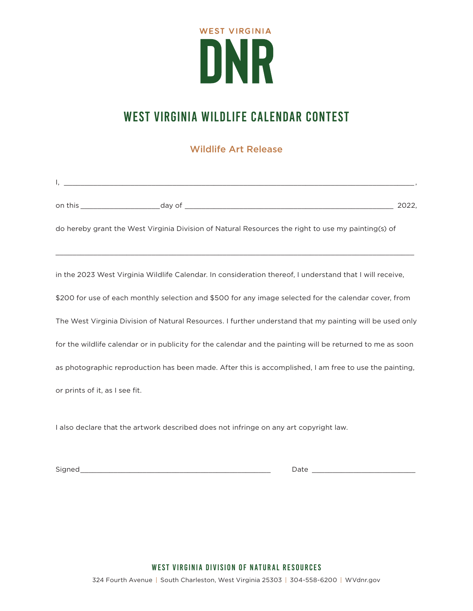

### Wildlife Art Release

| 2022,                                                                                                      |
|------------------------------------------------------------------------------------------------------------|
| do hereby grant the West Virginia Division of Natural Resources the right to use my painting(s) of         |
|                                                                                                            |
| in the 2023 West Virginia Wildlife Calendar. In consideration thereof, I understand that I will receive,   |
| \$200 for use of each monthly selection and \$500 for any image selected for the calendar cover, from      |
| The West Virginia Division of Natural Resources. I further understand that my painting will be used only   |
| for the wildlife calendar or in publicity for the calendar and the painting will be returned to me as soon |
| as photographic reproduction has been made. After this is accomplished, I am free to use the painting,     |
| or prints of it, as I see fit.                                                                             |

I also declare that the artwork described does not infringe on any art copyright law.

Signed\_\_\_\_\_\_\_\_\_\_\_\_\_\_\_\_\_\_\_\_\_\_\_\_\_\_\_\_\_\_\_\_\_\_\_\_\_\_\_\_\_\_\_\_\_\_ Date \_\_\_\_\_\_\_\_\_\_\_\_\_\_\_\_\_\_\_\_\_\_\_\_\_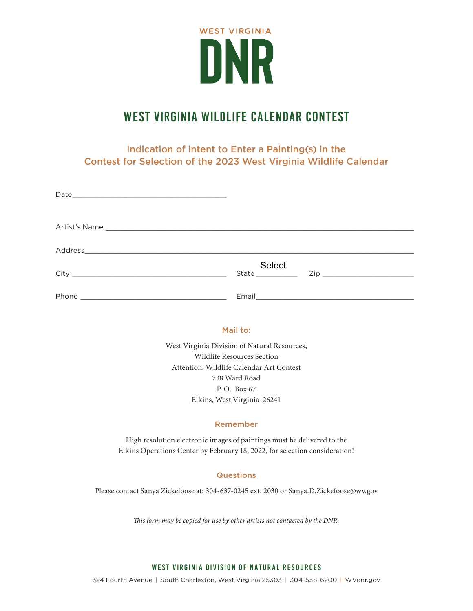

Indication of intent to Enter a Painting(s) in the Contest for Selection of the 2023 West Virginia Wildlife Calendar

| Select<br>State <b>State</b> |
|------------------------------|
|                              |

#### Mail to:

West Virginia Division of Natural Resources, Wildlife Resources Section Attention: Wildlife Calendar Art Contest 738 Ward Road P. O. Box 67 Elkins, West Virginia 26241

#### Remember

High resolution electronic images of paintings must be delivered to the Elkins Operations Center by February 18, 2022, for selection consideration!

#### **Questions**

Please contact Sanya Zickefoose at: 304-637-0245 ext. 2030 or Sanya.D.Zickefoose@wv.gov

*This form may be copied for use by other artists not contacted by the DNR.*

#### West Virginia Division of Natural Resources

324 Fourth Avenue | South Charleston, West Virginia 25303 | 304-558-6200 | WVdnr.gov